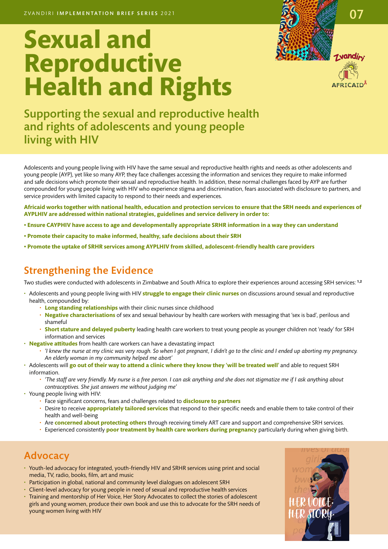# **Sexual and Reproductive Health and Rights**





Supporting the sexual and reproductive health and rights of adolescents and young people living with HIV

Adolescents and young people living with HIV have the same sexual and reproductive health rights and needs as other adolescents and young people (AYP), yet like so many AYP, they face challenges accessing the information and services they require to make informed and safe decisions which promote their sexual and reproductive health. In addition, these normal challenges faced by AYP are further compounded for young people living with HIV who experience stigma and discrimination, fears associated with disclosure to partners, and service providers with limited capacity to respond to their needs and experiences.

**Africaid works together with national health, education and protection services to ensure that the SRH needs and experiences of AYPLHIV are addressed within national strategies, guidelines and service delivery in order to:** 

- **Ensure CAYPHIV have access to age and developmentally appropriate SRHR information in a way they can understand**
- **Promote their capacity to make informed, healthy, safe decisions about their SRH**
- **Promote the uptake of SRHR services among AYPLHIV from skilled, adolescent-friendly health care providers**

### Strengthening the Evidence

Two studies were conducted with adolescents in Zimbabwe and South Africa to explore their experiences around accessing SRH services: **1,2** 

- Adolescents and young people living with HIV **struggle to engage their clinic nurses** on discussions around sexual and reproductive health, compounded by:
	- **Long standing relationships** with their clinic nurses since childhood
	- **Negative characterisations** of sex and sexual behaviour by health care workers with messaging that 'sex is bad', perilous and shameful
	- **Short stature and delayed puberty** leading health care workers to treat young people as younger children not 'ready' for SRH information and services
- **Negative attitudes** from health care workers can have a devastating impact
	- *'I knew the nurse at my clinic was very rough. So when I got pregnant, I didn't go to the clinic and I ended up aborting my pregnancy. An elderly woman in my community helped me abort'*
- Adolescents will **go out of their way to attend a clinic where they know they 'will be treated well'** and able to request SRH information.
	- *'The staff are very friendly. My nurse is a free person. I can ask anything and she does not stigmatize me if I ask anything about contraceptives. She just answers me without judging me'*
- Young people living with HIV:
	- Face significant concerns, fears and challenges related to **disclosure to partners**
	- Desire to receive **appropriately tailored services** that respond to their specific needs and enable them to take control of their health and well-being
	- Are **concerned about protecting others** through receiving timely ART care and support and comprehensive SRH services.
	- Experienced consistently **poor treatment by health care workers during pregnancy** particularly during when giving birth.

#### Advocacy

- Youth-led advocacy for integrated, youth-friendly HIV and SRHR services using print and social media, TV, radio, books, film, art and music
- Participation in global, national and community level dialogues on adolescent SRH
- Client-level advocacy for young people in need of sexual and reproductive health services
- Training and mentorship of Her Voice, Her Story Advocates to collect the stories of adolescent girls and young women, produce their own book and use this to advocate for the SRH needs of young women living with HIV